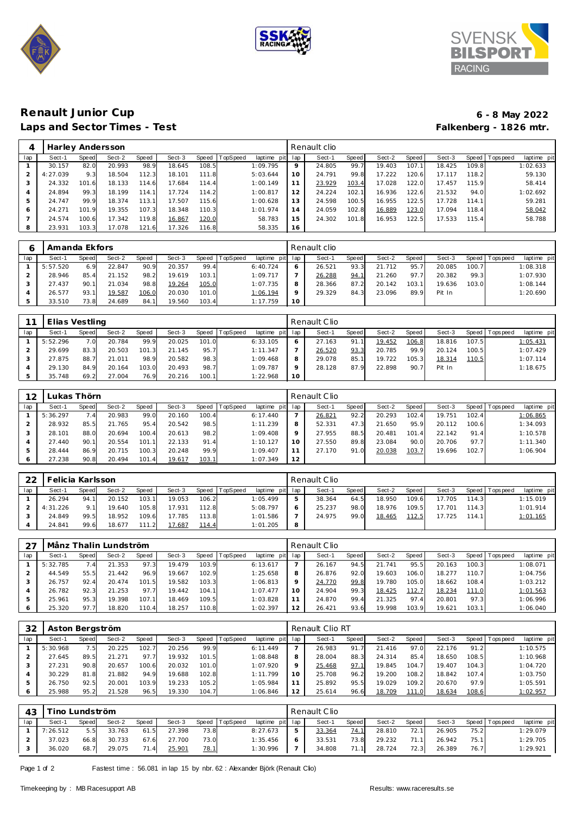





## **Renault Junior Cup 6 - 8 May 2022** Laps and Sector Times - Test

|     | Harley Andersson |       |        |       |        |               |                 |             |     | Renault clio |       |        |       |        |       |                 |             |
|-----|------------------|-------|--------|-------|--------|---------------|-----------------|-------------|-----|--------------|-------|--------|-------|--------|-------|-----------------|-------------|
| lap | Sect-1           | Speed | Sect-2 | Speed | Sect-3 | Speed         | <b>TopSpeed</b> | laptime pit | lap | Sect-1       | Speed | Sect-2 | Speed | Sect-3 |       | Speed Tops peed | laptime pit |
|     | 30.157           | 82.0  | 20.993 | 98.9  | 18.645 | 108.5         |                 | 1:09.795    | 9   | 24.805       | 99.7  | 19.403 | 107.1 | 18.425 | 109.8 |                 | 1:02.633    |
|     | 4:27.039         | 9.3   | 18.504 | 112.3 | 18.101 | 111.8         |                 | 5:03.644    | 10  | 24.791       | 99.8  | 17.222 | 120.6 | 17.117 | 118.2 |                 | 59.130      |
|     | 24.332           | 101.6 | 18.133 | 114.6 | 17.684 | 114.4         |                 | 1:00.149    |     | 23.929       | 103.4 | 17.028 | 122.0 | 17.457 | 115.9 |                 | 58.414      |
| 4   | 24.894           | 99.3  | 18.199 | 114.1 | 17.724 | 114.2         |                 | 1:00.817    | 12  | 24.224       | 102.1 | 16.936 | 122.6 | 21.532 | 94.0  |                 | 1:02.692    |
| 5   | 24.747           | 99.9  | 18.374 | 113.1 | 17.507 | 115.6         |                 | 1:00.628    | 13  | 24.598       | 100.5 | 16.955 | 122.5 | 17.728 | 114.1 |                 | 59.281      |
| 6   | 24.271           | 101.9 | 19.355 | 107.3 | 18.348 | 110.3         |                 | 1:01.974    | 14  | 24.059       | 102.8 | 16.889 | 123.0 | 17.094 | 118.4 |                 | 58.042      |
|     | 24.574           | 100.6 | 17.342 | 119.8 | 16.867 | <u> 120.0</u> |                 | 58.783      | 15  | 24.302       | 101.8 | 16.953 | 122.5 | 17.533 | 115.4 |                 | 58.788      |
| 8   | 23.931           | 103.3 | 17.078 | 121.6 | 17.326 | 116.8         |                 | 58.335      | 16  |              |       |        |       |        |       |                 |             |

|     | Amanda Ekfors |       |        |       |        |       |          |                 |         | Renault clio |       |        |       |        |       |                   |             |
|-----|---------------|-------|--------|-------|--------|-------|----------|-----------------|---------|--------------|-------|--------|-------|--------|-------|-------------------|-------------|
| lap | Sect-1        | Speed | Sect-2 | Speed | Sect-3 | Speed | TopSpeed | laptime pit lap |         | Sect-1       | Speed | Sect-2 | Speed | Sect-3 |       | Speed   Tops peed | laptime pit |
|     | 5:57.520      | 6.9   | 22.847 | 90.9  | 20.357 | 99.4  |          | 6:40.724        | 6       | 26.521       | 93.3  | 21.712 | 95.7  | 20.085 | 100.7 |                   | 1:08.318    |
|     | 28.946        | 85.4  | 21.152 | 98.2  | 19.619 | 103.1 |          | 1:09.717        |         | 26.288       | 94.1  | 21.260 | 97.7  | 20.382 | 99.3  |                   | 1:07.930    |
|     | 27.437        | 90.1  | 21.034 | 98.8  | 19.264 | 105.0 |          | 1:07.735        | 8       | 28.366       | 87.2  | 20.142 | 103.1 | 19.636 | 103.0 |                   | 1:08.144    |
|     | 26.577        | 93.1  | 19.587 | 106.0 | 20.030 | 101.0 |          | 1:06.194        | $\circ$ | 29.329       | 84.3  | 23.096 | 89.9  | Pit In |       |                   | 1:20.690    |
|     | 33.510        | 73.8  | 24.689 | 84.1  | 19.560 | 103.4 |          | 1:17.759        | 10      |              |       |        |       |        |       |                   |             |

|     | , Elias Vestling |       |        |       |        |       |                |             |     | Renault Clio |              |        |       |        |       |                 |             |
|-----|------------------|-------|--------|-------|--------|-------|----------------|-------------|-----|--------------|--------------|--------|-------|--------|-------|-----------------|-------------|
| lap | Sect-1           | Speed | Sect-2 | Speed | Sect-3 |       | Speed TopSpeed | laptime pit | lap | Sect-1       | <b>Speed</b> | Sect-2 | Speed | Sect-3 |       | Speed Tops peed | laptime pit |
|     | 5:52.296         | 7.0   | 20.784 | 99.9  | 20.025 | 101.0 |                | 6:33.105    | 6   | 27.163       | 91           | 19.452 | 106.8 | 18.816 | 107.5 |                 | 1:05.431    |
|     | 29.699           | 83.3  | 20.503 | 101.3 | 21.145 | 95.7  |                | 1:11.347    |     | 26.520       | 93.3         | 20.785 | 99.9  | 20.124 | 100.5 |                 | 1:07.429    |
|     | 27.875           | 88.7  | 21.011 | 98.9  | 20.582 | 98.3  |                | 1:09.468    | 8   | 29.078       | 85.1         | 19.722 | 105.3 | 18.314 | 110.5 |                 | 1:07.114    |
|     | 29.130           | 84.9  | 20.164 | 103.0 | 20.493 | 98.7  |                | 1:09.787    | Q   | 28.128       | 87.9         | 22.898 | 90.7  | Pit In |       |                 | 1:18.675    |
|     | 35.748           | 69.2  | 27.004 | 76.9  | 20.216 | 100.1 |                | 1:22.968    | 10  |              |              |        |       |        |       |                 |             |

| 12  | Lukas Thörn |       |        |       |        |       |                |             |         | Renault Clio |       |        |       |        |       |           |             |
|-----|-------------|-------|--------|-------|--------|-------|----------------|-------------|---------|--------------|-------|--------|-------|--------|-------|-----------|-------------|
| lap | Sect-1      | Speed | Sect-2 | Speed | Sect-3 |       | Speed TopSpeed | laptime pit | lap     | Sect-1       | Speed | Sect-2 | Speed | Sect-3 | Speed | Tops peed | laptime pit |
|     | 5:36.297    | $-41$ | 20.983 | 99.0  | 20.160 | 100.4 |                | 6:17.440    |         | 26.821       | 92.2  | 20.293 | 102.4 | 19.751 | 102.4 |           | 1:06.865    |
|     | 28.932      | 85.5  | 21.765 | 95.4  | 20.542 | 98.5  |                | 1:11.239    | 8       | 52.331       | 47.3  | 21.650 | 95.9  | 20.112 | 100.6 |           | 1:34.093    |
|     | 28.101      | 88.0  | 20.694 | 100.4 | 20.613 | 98.2  |                | 1:09.408    | $\circ$ | 27.955       | 88.5  | 20.481 | 101.4 | 22.142 | 91.4  |           | 1:10.578    |
|     | 27.440      | 90.7  | 20.554 | 101.1 | 22.133 | 91.4  |                | 1:10.127    | 10      | 27.550       | 89.8  | 23.084 | 90.0  | 20.706 | 97.7  |           | 1:11.340    |
|     | 28.444      | 86.9  | 20.715 | 100.3 | 20.248 | 99.9  |                | 1:09.407    | 11      | 27.170       | 91.0  | 20.038 | 103.7 | 19.696 | 102.7 |           | 1:06.904    |
|     | 27.238      | 90.8  | 20.494 | 101.4 | 19.617 | 103.1 |                | 1:07.349    | 12      |              |       |        |       |        |       |           |             |

| 22  | Felicia Karlsson |       |        |       |        |       |                |             |              | Renault Clio |       |        |       |        |       |                 |             |
|-----|------------------|-------|--------|-------|--------|-------|----------------|-------------|--------------|--------------|-------|--------|-------|--------|-------|-----------------|-------------|
| lap | Sect-1           | Speed | Sect-2 | Speed | Sect-3 |       | Speed TopSpeed | laptime pit | lap          | Sect-1       | Speed | Sect-2 | Speed | Sect-3 |       | Speed Tops peed | laptime pit |
|     | 26.294           | 94.1  | 20.152 | 103.1 | 19.053 | 106.2 |                | 1:05.499    | ь            | 38.364       | 64.5  | 18.950 | 109.6 | 17.705 | 114.3 |                 | 1:15.019    |
|     | 4:31.226         | 9 1   | 19.640 | 105.8 | 17.931 | 112.8 |                | 5:08.797    | <sub>O</sub> | 25.237       | 98.0  | 18.976 | 109.5 | 17.701 | 114.3 |                 | 1:01.914    |
|     | 24.849           | 99.5  | 18.952 | 109.6 | 17.785 | 113.8 |                | 1:01.586    |              | 24.975       | 99.0  | 18.465 | 112.5 | 17.725 | 114.1 |                 | 1:01.165    |
|     | 24.841           | 99.6  | 18.677 | 111.2 | 17.687 | 114.4 |                | 1:01.205    | 8            |              |       |        |       |        |       |                 |             |

| רר  |          |       | Månz Thalin Lundström |       |        |       |          |             |     | Renault Clio |       |        |       |        |       |                |             |
|-----|----------|-------|-----------------------|-------|--------|-------|----------|-------------|-----|--------------|-------|--------|-------|--------|-------|----------------|-------------|
| lap | Sect-1   | Speed | Sect-2                | Speed | Sect-3 | Speed | TopSpeed | laptime pit | lap | Sect-1       | Speed | Sect-2 | Speed | Sect-3 |       | Speed Topspeed | laptime pit |
|     | 5:32.785 | .41   | 21.353                | 97.3  | 19.479 | 103.9 |          | 6:13.617    |     | 26.167       | 94.5  | 21.741 | 95.5  | 20.163 | 100.3 |                | 1:08.071    |
|     | 44.549   | 55.5  | 21.442                | 96.9  | 19.667 | 102.9 |          | 1:25.658    | 8   | 26.876       | 92.0  | 19.603 | 106.0 | 18.277 | 110.7 |                | 1:04.756    |
|     | 26.757   | 92.4  | 20.474                | 101.5 | 19.582 | 103.3 |          | 1:06.813    |     | 24.770       | 99.8  | 19.780 | 105.0 | 18.662 | 108.4 |                | 1:03.212    |
| 4   | 26.782   | 92.3  | 21.253                | 97.7  | 19.442 | 104.1 |          | 1:07.477    | 1 C | 24.904       | 99.3  | 18.425 | 112.7 | 18.234 | 111.0 |                | 1:01.563    |
| .5  | 25.961   | 95.3  | 19.398                | 107.1 | 18.469 | 109.5 |          | 1:03.828    |     | 24.870       | 99.4  | 21.325 | 97.4  | 20.801 | 97.3  |                | 1:06.996    |
|     | 25.320   | 97.7  | 18.820                | 110.4 | 18.257 | 110.8 |          | 1:02.397    | 12  | 26.421       | 93.6  | 19.998 | 103.9 | 19.621 | 103.1 |                | 1:06.040    |

| 32      | Aston Bergström |       |        |       |        |       |                 |             |         | Renault Clio RT |       |        |       |        |       |           |             |
|---------|-----------------|-------|--------|-------|--------|-------|-----------------|-------------|---------|-----------------|-------|--------|-------|--------|-------|-----------|-------------|
| lap     | Sect-1          | Speed | Sect-2 | Speed | Sect-3 | Speed | <b>TopSpeed</b> | laptime pit | lap     | Sect-1          | Speed | Sect-2 | Speed | Sect-3 | Speed | Tops peed | laptime pit |
|         | 5:30.968        | 7.51  | 20.225 | 102.7 | 20.256 | 99.9  |                 | 6:11.449    |         | 26.983          | 91.7  | 21.416 | 97.0  | 22.176 | 91.2  |           | 1:10.575    |
|         | 27.645          | 89.5  | 21.271 | 97.7  | 19.932 | 101.5 |                 | 1:08.848    | 8       | 28.004          | 88.3  | 24.314 | 85.4  | 18.650 | 108.5 |           | 1:10.968    |
|         | 27.231          | 90.8  | 20.657 | 100.6 | 20.032 | 101.0 |                 | 1:07.920    | $\circ$ | 25.468          | 97.1  | 19.845 | 104.7 | 19.407 | 104.3 |           | 1:04.720    |
|         | 30.229          | 81.8  | 21.882 | 94.9  | 19.688 | 102.8 |                 | 1:11.799    | 10      | 25.708          | 96.2  | 19.200 | 108.2 | 18.842 | 107.4 |           | 1:03.750    |
| 5       | 26.750          | 92.5  | 20.001 | 103.9 | 19.233 | 105.2 |                 | 1:05.984    |         | 25.892          | 95.5  | 19.029 | 109.2 | 20.670 | 97.9  |           | 1:05.591    |
| $\circ$ | 25.988          | 95.2  | 21.528 | 96.5  | 19.330 | 104.7 |                 | 1:06.846    | 12      | 25.614          | 96.6  | 18.709 | 111.0 | 18.634 | 108.6 |           | 1:02.957    |

| 43  |          | ino Lundström |        |              |        |      |                |                 | Renault Clio |       |        |       |        |      |                 |             |
|-----|----------|---------------|--------|--------------|--------|------|----------------|-----------------|--------------|-------|--------|-------|--------|------|-----------------|-------------|
| lap | Sect-1   | <b>Speed</b>  | Sect-2 | <b>Speed</b> | Sect-3 |      | Speed TopSpeed | laptime pit lap | Sect-1       | Speed | Sect-2 | Speed | Sect-3 |      | Speed Tops peed | laptime pit |
|     | 7:26.512 | 5.5           | 33.763 | 61.5         | 27.398 | 73.8 |                | 8:27.673        | 33.364       | 74.1  | 28.810 | 72.11 | 26.905 | 75.2 |                 | 1:29.079    |
|     | 37.023   | 66.8          | 30.733 | 67.6         | 27.700 | 73.0 |                | 1:35.456        | 33.531       | 73.8  | 29.232 | 71.11 | 26.942 | 75.1 |                 | 1:29.705    |
|     | 36.020   | 68.7          | 29.075 | 71.4         | 25.901 | 78.1 |                | 1:30.996        | 34.808       | 71.1  | 28.724 | 72.3  | 26.389 | 76.7 |                 | 1:29.921    |